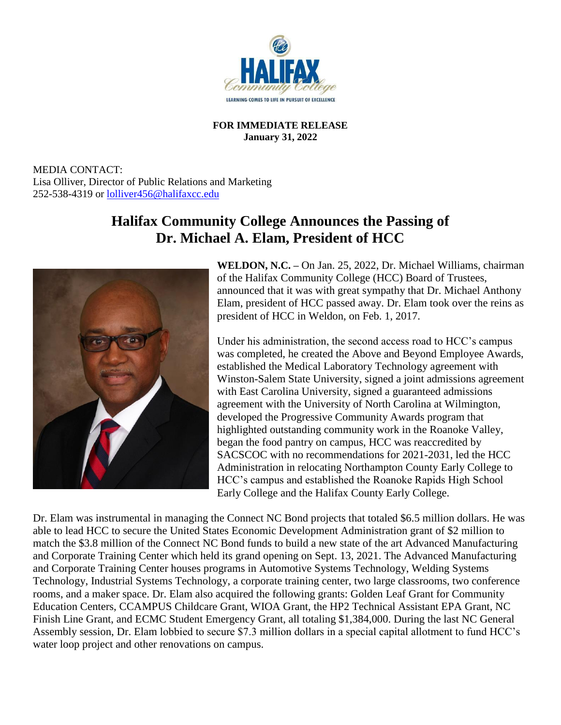

## **FOR IMMEDIATE RELEASE January 31, 2022**

MEDIA CONTACT: Lisa Olliver, Director of Public Relations and Marketing 252-538-4319 or [lolliver456@halifaxcc.edu](mailto:lolliver456@halifaxcc.edu)

## **Halifax Community College Announces the Passing of Dr. Michael A. Elam, President of HCC**



**WELDON, N.C. –** On Jan. 25, 2022, Dr. Michael Williams, chairman of the Halifax Community College (HCC) Board of Trustees, announced that it was with great sympathy that Dr. Michael Anthony Elam, president of HCC passed away. Dr. Elam took over the reins as president of HCC in Weldon, on Feb. 1, 2017.

Under his administration, the second access road to HCC's campus was completed, he created the Above and Beyond Employee Awards, established the Medical Laboratory Technology agreement with Winston-Salem State University, signed a joint admissions agreement with East Carolina University, signed a guaranteed admissions agreement with the University of North Carolina at Wilmington, developed the Progressive Community Awards program that highlighted outstanding community work in the Roanoke Valley, began the food pantry on campus, HCC was reaccredited by SACSCOC with no recommendations for 2021-2031, led the HCC Administration in relocating Northampton County Early College to HCC's campus and established the Roanoke Rapids High School Early College and the Halifax County Early College.

Dr. Elam was instrumental in managing the Connect NC Bond projects that totaled \$6.5 million dollars. He was able to lead HCC to secure the United States Economic Development Administration grant of \$2 million to match the \$3.8 million of the Connect NC Bond funds to build a new state of the art Advanced Manufacturing and Corporate Training Center which held its grand opening on Sept. 13, 2021. The Advanced Manufacturing and Corporate Training Center houses programs in Automotive Systems Technology, Welding Systems Technology, Industrial Systems Technology, a corporate training center, two large classrooms, two conference rooms, and a maker space. Dr. Elam also acquired the following grants: Golden Leaf Grant for Community Education Centers, CCAMPUS Childcare Grant, WIOA Grant, the HP2 Technical Assistant EPA Grant, NC Finish Line Grant, and ECMC Student Emergency Grant, all totaling \$1,384,000. During the last NC General Assembly session, Dr. Elam lobbied to secure \$7.3 million dollars in a special capital allotment to fund HCC's water loop project and other renovations on campus.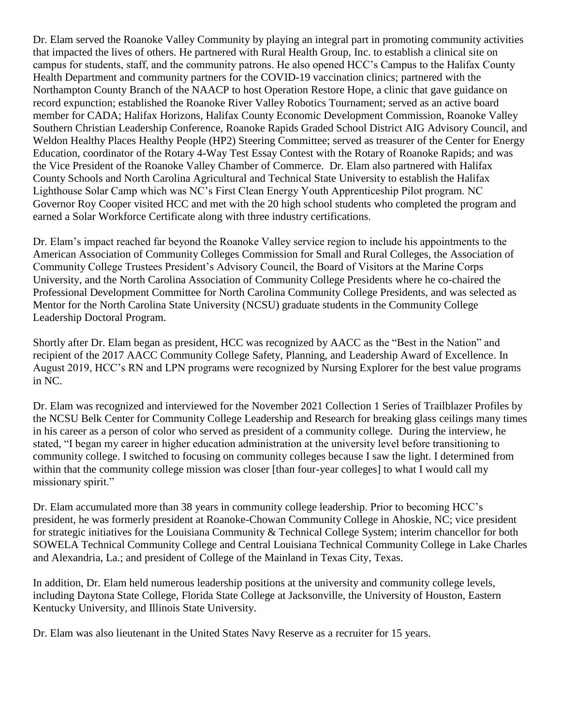Dr. Elam served the Roanoke Valley Community by playing an integral part in promoting community activities that impacted the lives of others. He partnered with Rural Health Group, Inc. to establish a clinical site on campus for students, staff, and the community patrons. He also opened HCC's Campus to the Halifax County Health Department and community partners for the COVID-19 vaccination clinics; partnered with the Northampton County Branch of the NAACP to host Operation Restore Hope, a clinic that gave guidance on record expunction; established the Roanoke River Valley Robotics Tournament; served as an active board member for CADA; Halifax Horizons, Halifax County Economic Development Commission, Roanoke Valley Southern Christian Leadership Conference, Roanoke Rapids Graded School District AIG Advisory Council, and Weldon Healthy Places Healthy People (HP2) Steering Committee; served as treasurer of the Center for Energy Education, coordinator of the Rotary 4-Way Test Essay Contest with the Rotary of Roanoke Rapids; and was the Vice President of the Roanoke Valley Chamber of Commerce. Dr. Elam also partnered with Halifax County Schools and North Carolina Agricultural and Technical State University to establish the Halifax Lighthouse Solar Camp which was NC's First Clean Energy Youth Apprenticeship Pilot program. NC Governor Roy Cooper visited HCC and met with the 20 high school students who completed the program and earned a Solar Workforce Certificate along with three industry certifications.

Dr. Elam's impact reached far beyond the Roanoke Valley service region to include his appointments to the American Association of Community Colleges Commission for Small and Rural Colleges, the Association of Community College Trustees President's Advisory Council, the Board of Visitors at the Marine Corps University, and the North Carolina Association of Community College Presidents where he co-chaired the Professional Development Committee for North Carolina Community College Presidents, and was selected as Mentor for the North Carolina State University (NCSU) graduate students in the Community College Leadership Doctoral Program.

Shortly after Dr. Elam began as president, HCC was recognized by AACC as the "Best in the Nation" and recipient of the 2017 AACC Community College Safety, Planning, and Leadership Award of Excellence. In August 2019, HCC's RN and LPN programs were recognized by Nursing Explorer for the best value programs in NC.

Dr. Elam was recognized and interviewed for the November 2021 Collection 1 Series of Trailblazer Profiles by the NCSU Belk Center for Community College Leadership and Research for breaking glass ceilings many times in his career as a person of color who served as president of a community college. During the interview, he stated, "I began my career in higher education administration at the university level before transitioning to community college. I switched to focusing on community colleges because I saw the light. I determined from within that the community college mission was closer [than four-year colleges] to what I would call my missionary spirit."

Dr. Elam accumulated more than 38 years in community college leadership. Prior to becoming HCC's president, he was formerly president at Roanoke-Chowan Community College in Ahoskie, NC; vice president for strategic initiatives for the Louisiana Community & Technical College System; interim chancellor for both SOWELA Technical Community College and Central Louisiana Technical Community College in Lake Charles and Alexandria, La.; and president of College of the Mainland in Texas City, Texas.

In addition, Dr. Elam held numerous leadership positions at the university and community college levels, including Daytona State College, Florida State College at Jacksonville, the University of Houston, Eastern Kentucky University, and Illinois State University.

Dr. Elam was also lieutenant in the United States Navy Reserve as a recruiter for 15 years.